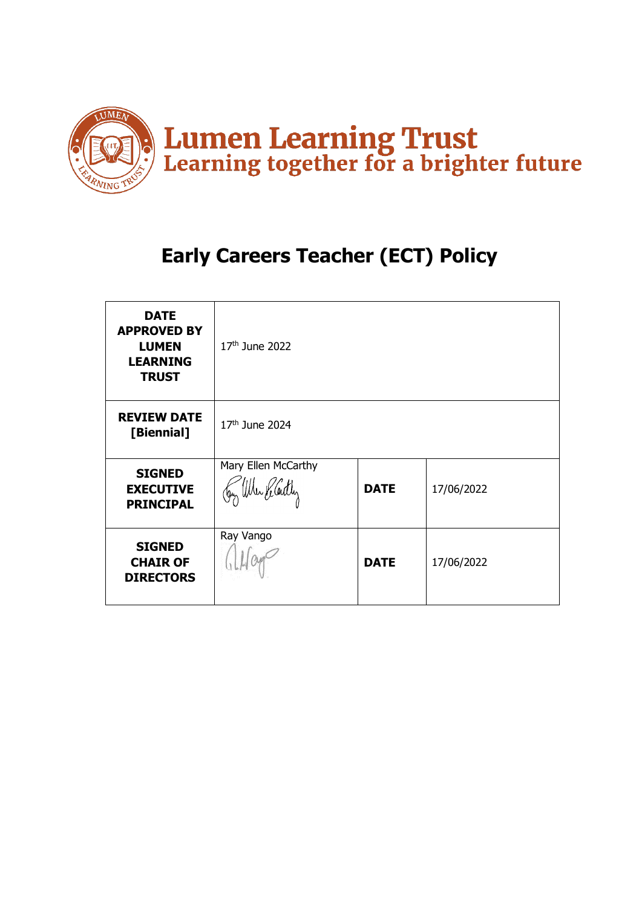

# **Early Careers Teacher (ECT) Policy**

| <b>DATE</b><br><b>APPROVED BY</b><br><b>LUMEN</b><br><b>LEARNING</b><br><b>TRUST</b> | $17th$ June 2022                           |             |            |
|--------------------------------------------------------------------------------------|--------------------------------------------|-------------|------------|
| <b>REVIEW DATE</b><br>[Biennial]                                                     | 17th June 2024                             |             |            |
| <b>SIGNED</b><br><b>EXECUTIVE</b><br><b>PRINCIPAL</b>                                | Mary Ellen McCarthy<br>Jay When He Centley | <b>DATE</b> | 17/06/2022 |
| <b>SIGNED</b><br><b>CHAIR OF</b><br><b>DIRECTORS</b>                                 | Ray Vango                                  | <b>DATE</b> | 17/06/2022 |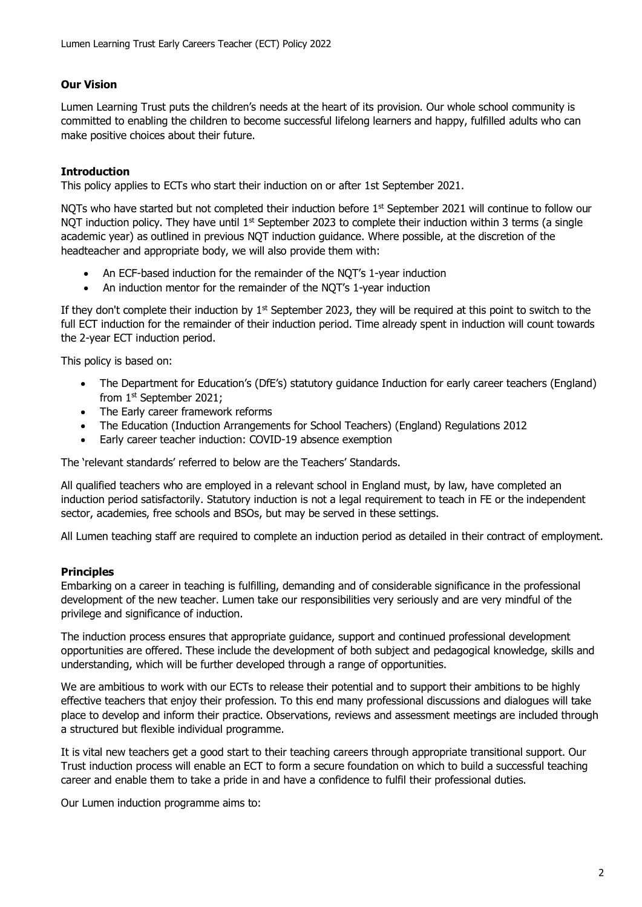# **Our Vision**

Lumen Learning Trust puts the children's needs at the heart of its provision. Our whole school community is committed to enabling the children to become successful lifelong learners and happy, fulfilled adults who can make positive choices about their future.

## **Introduction**

This policy applies to ECTs who start their induction on or after 1st September 2021.

NOTs who have started but not completed their induction before  $1<sup>st</sup>$  September 2021 will continue to follow our NOT induction policy. They have until  $1<sup>st</sup>$  September 2023 to complete their induction within 3 terms (a single academic year) as outlined in previous NQT induction guidance. Where possible, at the discretion of the headteacher and appropriate body, we will also provide them with:

- An ECF-based induction for the remainder of the NQT's 1-year induction
- An induction mentor for the remainder of the NQT's 1-year induction

If they don't complete their induction by  $1<sup>st</sup>$  September 2023, they will be required at this point to switch to the full ECT induction for the remainder of their induction period. Time already spent in induction will count towards the 2-year ECT induction period.

This policy is based on:

- The Department for Education's (DfE's) statutory quidance Induction for early career teachers (England) from 1st September 2021;
- The Early career framework reforms
- The Education (Induction Arrangements for School Teachers) (England) Regulations 2012
- Early career teacher induction: COVID-19 absence exemption

The 'relevant standards' referred to below are the Teachers' Standards.

All qualified teachers who are employed in a relevant school in England must, by law, have completed an induction period satisfactorily. Statutory induction is not a legal requirement to teach in FE or the independent sector, academies, free schools and BSOs, but may be served in these settings.

All Lumen teaching staff are required to complete an induction period as detailed in their contract of employment.

#### **Principles**

Embarking on a career in teaching is fulfilling, demanding and of considerable significance in the professional development of the new teacher. Lumen take our responsibilities very seriously and are very mindful of the privilege and significance of induction.

The induction process ensures that appropriate guidance, support and continued professional development opportunities are offered. These include the development of both subject and pedagogical knowledge, skills and understanding, which will be further developed through a range of opportunities.

We are ambitious to work with our ECTs to release their potential and to support their ambitions to be highly effective teachers that enjoy their profession. To this end many professional discussions and dialogues will take place to develop and inform their practice. Observations, reviews and assessment meetings are included through a structured but flexible individual programme.

It is vital new teachers get a good start to their teaching careers through appropriate transitional support. Our Trust induction process will enable an ECT to form a secure foundation on which to build a successful teaching career and enable them to take a pride in and have a confidence to fulfil their professional duties.

Our Lumen induction programme aims to: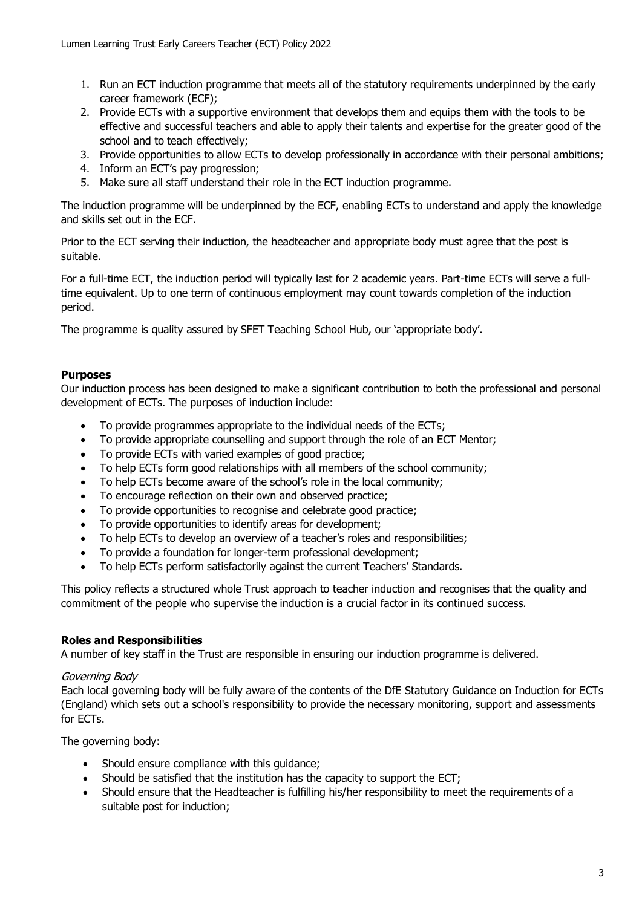- 1. Run an ECT induction programme that meets all of the statutory requirements underpinned by the early career framework (ECF);
- 2. Provide ECTs with a supportive environment that develops them and equips them with the tools to be effective and successful teachers and able to apply their talents and expertise for the greater good of the school and to teach effectively;
- 3. Provide opportunities to allow ECTs to develop professionally in accordance with their personal ambitions;
- 4. Inform an ECT's pay progression;
- 5. Make sure all staff understand their role in the ECT induction programme.

The induction programme will be underpinned by the ECF, enabling ECTs to understand and apply the knowledge and skills set out in the ECF.

Prior to the ECT serving their induction, the headteacher and appropriate body must agree that the post is suitable.

For a full-time ECT, the induction period will typically last for 2 academic years. Part-time ECTs will serve a fulltime equivalent. Up to one term of continuous employment may count towards completion of the induction period.

The programme is quality assured by SFET Teaching School Hub, our 'appropriate body'.

## **Purposes**

Our induction process has been designed to make a significant contribution to both the professional and personal development of ECTs. The purposes of induction include:

- To provide programmes appropriate to the individual needs of the ECTs;
- To provide appropriate counselling and support through the role of an ECT Mentor;
- To provide ECTs with varied examples of good practice;
- To help ECTs form good relationships with all members of the school community;
- To help ECTs become aware of the school's role in the local community;
- To encourage reflection on their own and observed practice;
- To provide opportunities to recognise and celebrate good practice;
- To provide opportunities to identify areas for development;
- To help ECTs to develop an overview of a teacher's roles and responsibilities;
- To provide a foundation for longer-term professional development;
- To help ECTs perform satisfactorily against the current Teachers' Standards.

This policy reflects a structured whole Trust approach to teacher induction and recognises that the quality and commitment of the people who supervise the induction is a crucial factor in its continued success.

# **Roles and Responsibilities**

A number of key staff in the Trust are responsible in ensuring our induction programme is delivered.

#### Governing Body

Each local governing body will be fully aware of the contents of the DfE Statutory Guidance on Induction for ECTs (England) which sets out a school's responsibility to provide the necessary monitoring, support and assessments for ECTs.

The governing body:

- Should ensure compliance with this quidance;
- Should be satisfied that the institution has the capacity to support the ECT;
- Should ensure that the Headteacher is fulfilling his/her responsibility to meet the requirements of a suitable post for induction;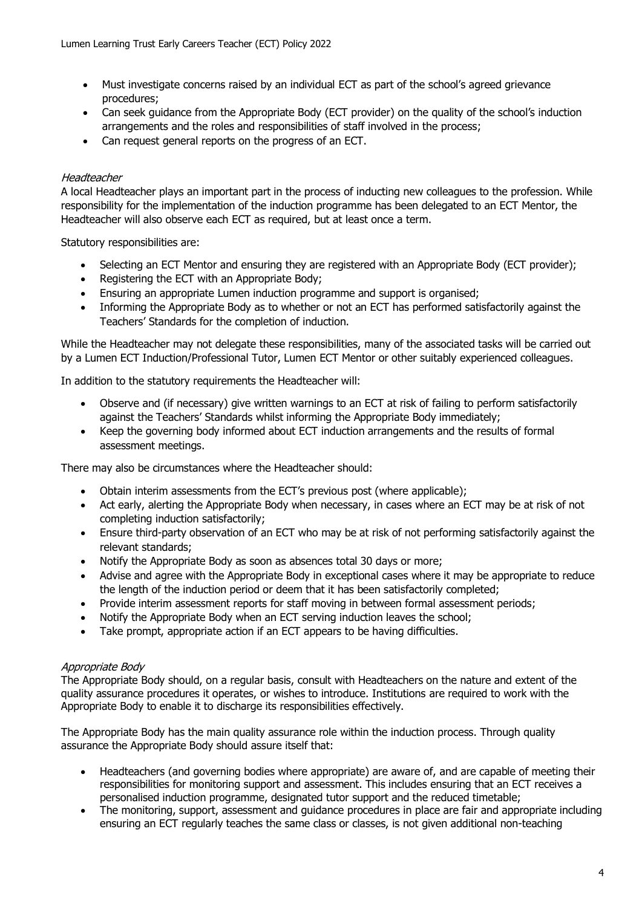- Must investigate concerns raised by an individual ECT as part of the school's agreed grievance procedures;
- Can seek guidance from the Appropriate Body (ECT provider) on the quality of the school's induction arrangements and the roles and responsibilities of staff involved in the process;
- Can request general reports on the progress of an ECT.

## **Headteacher**

A local Headteacher plays an important part in the process of inducting new colleagues to the profession. While responsibility for the implementation of the induction programme has been delegated to an ECT Mentor, the Headteacher will also observe each ECT as required, but at least once a term.

Statutory responsibilities are:

- Selecting an ECT Mentor and ensuring they are registered with an Appropriate Body (ECT provider);
- Registering the ECT with an Appropriate Body;
- Ensuring an appropriate Lumen induction programme and support is organised;
- Informing the Appropriate Body as to whether or not an ECT has performed satisfactorily against the Teachers' Standards for the completion of induction.

While the Headteacher may not delegate these responsibilities, many of the associated tasks will be carried out by a Lumen ECT Induction/Professional Tutor, Lumen ECT Mentor or other suitably experienced colleagues.

In addition to the statutory requirements the Headteacher will:

- Observe and (if necessary) give written warnings to an ECT at risk of failing to perform satisfactorily against the Teachers' Standards whilst informing the Appropriate Body immediately;
- Keep the governing body informed about ECT induction arrangements and the results of formal assessment meetings.

There may also be circumstances where the Headteacher should:

- Obtain interim assessments from the ECT's previous post (where applicable);
- Act early, alerting the Appropriate Body when necessary, in cases where an ECT may be at risk of not completing induction satisfactorily;
- Ensure third-party observation of an ECT who may be at risk of not performing satisfactorily against the relevant standards;
- Notify the Appropriate Body as soon as absences total 30 days or more;
- Advise and agree with the Appropriate Body in exceptional cases where it may be appropriate to reduce the length of the induction period or deem that it has been satisfactorily completed;
- Provide interim assessment reports for staff moving in between formal assessment periods;
- Notify the Appropriate Body when an ECT serving induction leaves the school;
- Take prompt, appropriate action if an ECT appears to be having difficulties.

#### Appropriate Body

The Appropriate Body should, on a regular basis, consult with Headteachers on the nature and extent of the quality assurance procedures it operates, or wishes to introduce. Institutions are required to work with the Appropriate Body to enable it to discharge its responsibilities effectively.

The Appropriate Body has the main quality assurance role within the induction process. Through quality assurance the Appropriate Body should assure itself that:

- Headteachers (and governing bodies where appropriate) are aware of, and are capable of meeting their responsibilities for monitoring support and assessment. This includes ensuring that an ECT receives a personalised induction programme, designated tutor support and the reduced timetable;
- The monitoring, support, assessment and guidance procedures in place are fair and appropriate including ensuring an ECT regularly teaches the same class or classes, is not given additional non-teaching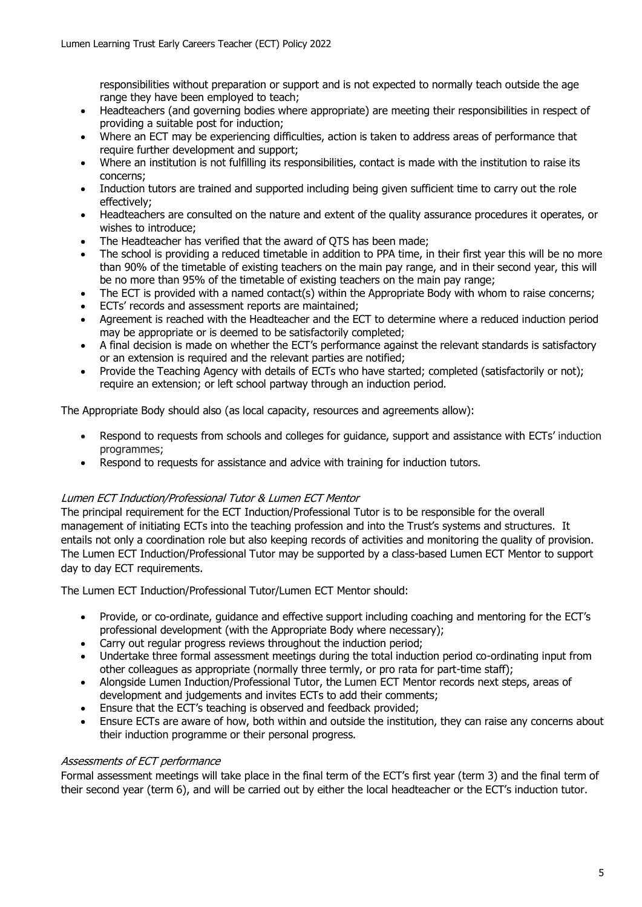responsibilities without preparation or support and is not expected to normally teach outside the age range they have been employed to teach;

- Headteachers (and governing bodies where appropriate) are meeting their responsibilities in respect of providing a suitable post for induction;
- Where an ECT may be experiencing difficulties, action is taken to address areas of performance that require further development and support;
- Where an institution is not fulfilling its responsibilities, contact is made with the institution to raise its concerns;
- Induction tutors are trained and supported including being given sufficient time to carry out the role effectively;
- Headteachers are consulted on the nature and extent of the quality assurance procedures it operates, or wishes to introduce;
- The Headteacher has verified that the award of OTS has been made;
- The school is providing a reduced timetable in addition to PPA time, in their first year this will be no more than 90% of the timetable of existing teachers on the main pay range, and in their second year, this will be no more than 95% of the timetable of existing teachers on the main pay range;
- The ECT is provided with a named contact(s) within the Appropriate Body with whom to raise concerns;
- ECTs' records and assessment reports are maintained;
- Agreement is reached with the Headteacher and the ECT to determine where a reduced induction period may be appropriate or is deemed to be satisfactorily completed;
- A final decision is made on whether the ECT's performance against the relevant standards is satisfactory or an extension is required and the relevant parties are notified;
- Provide the Teaching Agency with details of ECTs who have started; completed (satisfactorily or not); require an extension; or left school partway through an induction period.

The Appropriate Body should also (as local capacity, resources and agreements allow):

- Respond to requests from schools and colleges for guidance, support and assistance with ECTs' induction programmes;
- Respond to requests for assistance and advice with training for induction tutors.

#### Lumen ECT Induction/Professional Tutor & Lumen ECT Mentor

The principal requirement for the ECT Induction/Professional Tutor is to be responsible for the overall management of initiating ECTs into the teaching profession and into the Trust's systems and structures. It entails not only a coordination role but also keeping records of activities and monitoring the quality of provision. The Lumen ECT Induction/Professional Tutor may be supported by a class-based Lumen ECT Mentor to support day to day ECT requirements.

The Lumen ECT Induction/Professional Tutor/Lumen ECT Mentor should:

- Provide, or co-ordinate, guidance and effective support including coaching and mentoring for the ECT's professional development (with the Appropriate Body where necessary);
- Carry out regular progress reviews throughout the induction period;
- Undertake three formal assessment meetings during the total induction period co-ordinating input from other colleagues as appropriate (normally three termly, or pro rata for part-time staff);
- Alongside Lumen Induction/Professional Tutor, the Lumen ECT Mentor records next steps, areas of development and judgements and invites ECTs to add their comments;
- Ensure that the ECT's teaching is observed and feedback provided;
- Ensure ECTs are aware of how, both within and outside the institution, they can raise any concerns about their induction programme or their personal progress.

#### Assessments of ECT performance

Formal assessment meetings will take place in the final term of the ECT's first year (term 3) and the final term of their second year (term 6), and will be carried out by either the local headteacher or the ECT's induction tutor.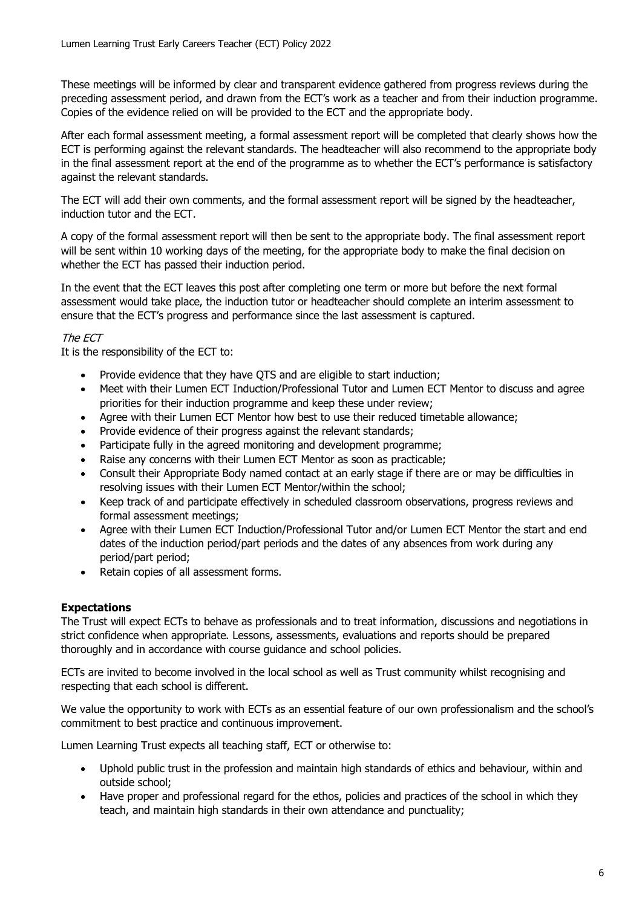These meetings will be informed by clear and transparent evidence gathered from progress reviews during the preceding assessment period, and drawn from the ECT's work as a teacher and from their induction programme. Copies of the evidence relied on will be provided to the ECT and the appropriate body.

After each formal assessment meeting, a formal assessment report will be completed that clearly shows how the ECT is performing against the relevant standards. The headteacher will also recommend to the appropriate body in the final assessment report at the end of the programme as to whether the ECT's performance is satisfactory against the relevant standards.

The ECT will add their own comments, and the formal assessment report will be signed by the headteacher, induction tutor and the ECT.

A copy of the formal assessment report will then be sent to the appropriate body. The final assessment report will be sent within 10 working days of the meeting, for the appropriate body to make the final decision on whether the ECT has passed their induction period.

In the event that the ECT leaves this post after completing one term or more but before the next formal assessment would take place, the induction tutor or headteacher should complete an interim assessment to ensure that the ECT's progress and performance since the last assessment is captured.

# The ECT

It is the responsibility of the ECT to:

- Provide evidence that they have QTS and are eligible to start induction;
- Meet with their Lumen ECT Induction/Professional Tutor and Lumen ECT Mentor to discuss and agree priorities for their induction programme and keep these under review;
- Agree with their Lumen ECT Mentor how best to use their reduced timetable allowance;
- Provide evidence of their progress against the relevant standards;
- Participate fully in the agreed monitoring and development programme;
- Raise any concerns with their Lumen ECT Mentor as soon as practicable;
- Consult their Appropriate Body named contact at an early stage if there are or may be difficulties in resolving issues with their Lumen ECT Mentor/within the school;
- Keep track of and participate effectively in scheduled classroom observations, progress reviews and formal assessment meetings;
- Agree with their Lumen ECT Induction/Professional Tutor and/or Lumen ECT Mentor the start and end dates of the induction period/part periods and the dates of any absences from work during any period/part period;
- Retain copies of all assessment forms.

# **Expectations**

The Trust will expect ECTs to behave as professionals and to treat information, discussions and negotiations in strict confidence when appropriate. Lessons, assessments, evaluations and reports should be prepared thoroughly and in accordance with course guidance and school policies.

ECTs are invited to become involved in the local school as well as Trust community whilst recognising and respecting that each school is different.

We value the opportunity to work with ECTs as an essential feature of our own professionalism and the school's commitment to best practice and continuous improvement.

Lumen Learning Trust expects all teaching staff, ECT or otherwise to:

- Uphold public trust in the profession and maintain high standards of ethics and behaviour, within and outside school;
- Have proper and professional regard for the ethos, policies and practices of the school in which they teach, and maintain high standards in their own attendance and punctuality;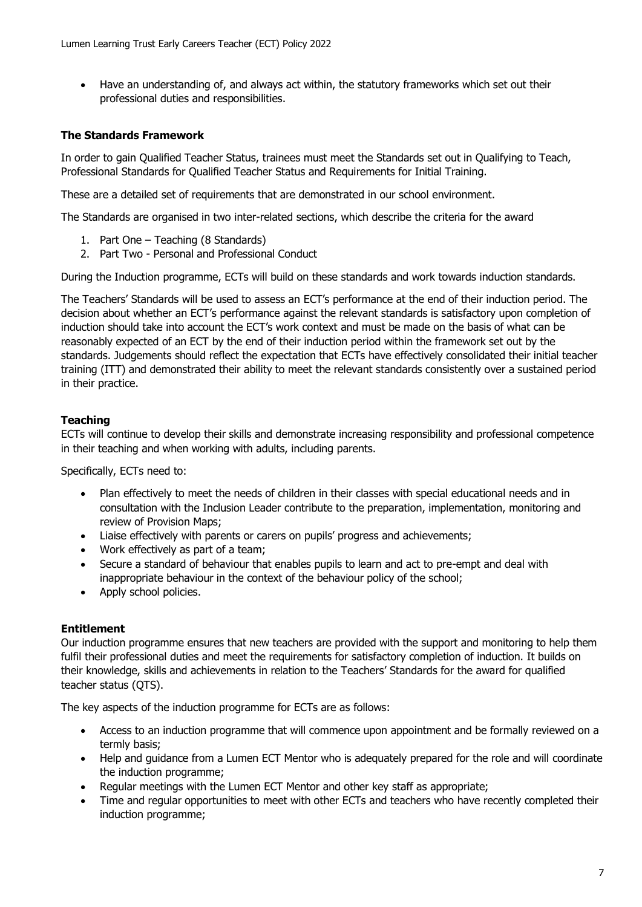• Have an understanding of, and always act within, the statutory frameworks which set out their professional duties and responsibilities.

# **The Standards Framework**

In order to gain Qualified Teacher Status, trainees must meet the Standards set out in Qualifying to Teach, Professional Standards for Qualified Teacher Status and Requirements for Initial Training.

These are a detailed set of requirements that are demonstrated in our school environment.

The Standards are organised in two inter-related sections, which describe the criteria for the award

- 1. Part One Teaching (8 Standards)
- 2. Part Two Personal and Professional Conduct

During the Induction programme, ECTs will build on these standards and work towards induction standards.

The Teachers' Standards will be used to assess an ECT's performance at the end of their induction period. The decision about whether an ECT's performance against the relevant standards is satisfactory upon completion of induction should take into account the ECT's work context and must be made on the basis of what can be reasonably expected of an ECT by the end of their induction period within the framework set out by the standards. Judgements should reflect the expectation that ECTs have effectively consolidated their initial teacher training (ITT) and demonstrated their ability to meet the relevant standards consistently over a sustained period in their practice.

# **Teaching**

ECTs will continue to develop their skills and demonstrate increasing responsibility and professional competence in their teaching and when working with adults, including parents.

Specifically, ECTs need to:

- Plan effectively to meet the needs of children in their classes with special educational needs and in consultation with the Inclusion Leader contribute to the preparation, implementation, monitoring and review of Provision Maps;
- Liaise effectively with parents or carers on pupils' progress and achievements;
- Work effectively as part of a team;
- Secure a standard of behaviour that enables pupils to learn and act to pre-empt and deal with inappropriate behaviour in the context of the behaviour policy of the school;
- Apply school policies.

# **Entitlement**

Our induction programme ensures that new teachers are provided with the support and monitoring to help them fulfil their professional duties and meet the requirements for satisfactory completion of induction. It builds on their knowledge, skills and achievements in relation to the Teachers' Standards for the award for qualified teacher status (QTS).

The key aspects of the induction programme for ECTs are as follows:

- Access to an induction programme that will commence upon appointment and be formally reviewed on a termly basis;
- Help and guidance from a Lumen ECT Mentor who is adequately prepared for the role and will coordinate the induction programme;
- Regular meetings with the Lumen ECT Mentor and other key staff as appropriate;
- Time and regular opportunities to meet with other ECTs and teachers who have recently completed their induction programme;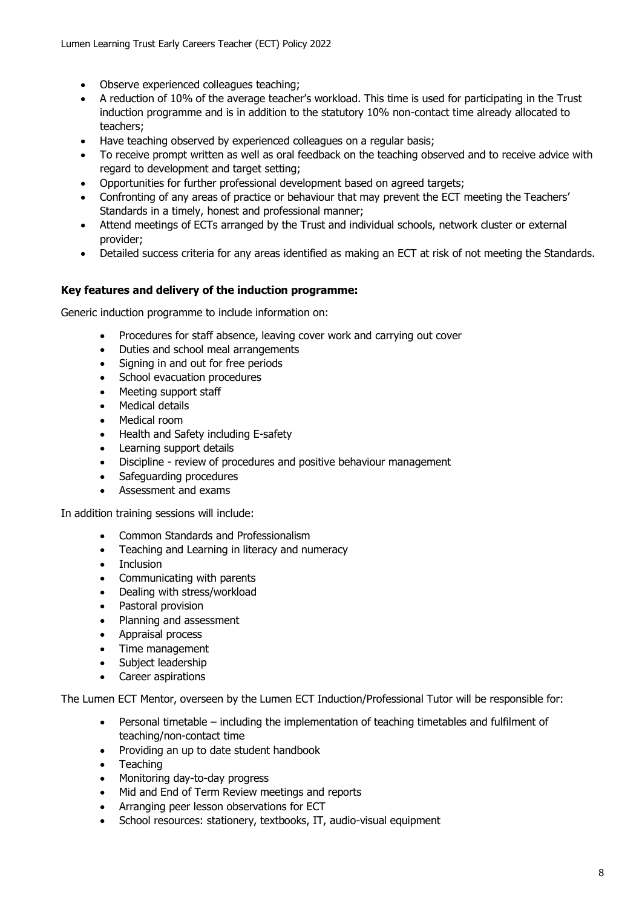- Observe experienced colleagues teaching;
- A reduction of 10% of the average teacher's workload. This time is used for participating in the Trust induction programme and is in addition to the statutory 10% non-contact time already allocated to teachers;
- Have teaching observed by experienced colleagues on a regular basis;
- To receive prompt written as well as oral feedback on the teaching observed and to receive advice with regard to development and target setting;
- Opportunities for further professional development based on agreed targets;
- Confronting of any areas of practice or behaviour that may prevent the ECT meeting the Teachers' Standards in a timely, honest and professional manner;
- Attend meetings of ECTs arranged by the Trust and individual schools, network cluster or external provider;
- Detailed success criteria for any areas identified as making an ECT at risk of not meeting the Standards.

# **Key features and delivery of the induction programme:**

Generic induction programme to include information on:

- Procedures for staff absence, leaving cover work and carrying out cover
- Duties and school meal arrangements
- Signing in and out for free periods
- School evacuation procedures
- Meeting support staff
- Medical details
- Medical room
- Health and Safety including E-safety
- Learning support details
- Discipline review of procedures and positive behaviour management
- Safeguarding procedures
- Assessment and exams

In addition training sessions will include:

- Common Standards and Professionalism
- Teaching and Learning in literacy and numeracy
- Inclusion
- Communicating with parents
- Dealing with stress/workload
- Pastoral provision
- Planning and assessment
- Appraisal process
- Time management
- Subject leadership
- Career aspirations

The Lumen ECT Mentor, overseen by the Lumen ECT Induction/Professional Tutor will be responsible for:

- Personal timetable including the implementation of teaching timetables and fulfilment of teaching/non-contact time
- Providing an up to date student handbook
- **Teaching**
- Monitoring day-to-day progress
- Mid and End of Term Review meetings and reports
- Arranging peer lesson observations for ECT
- School resources: stationery, textbooks, IT, audio-visual equipment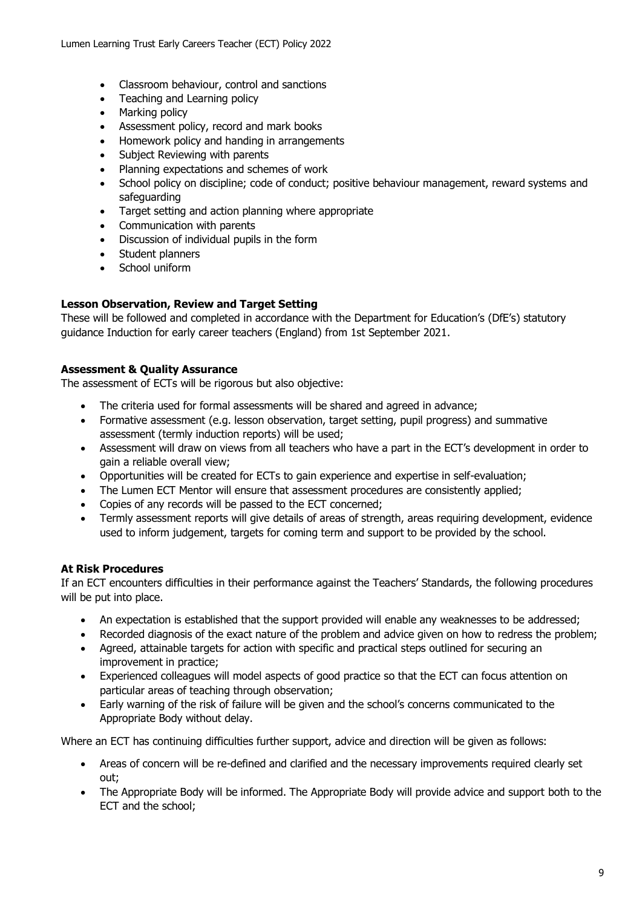- Classroom behaviour, control and sanctions
- Teaching and Learning policy
- Marking policy
- Assessment policy, record and mark books
- Homework policy and handing in arrangements
- Subject Reviewing with parents
- Planning expectations and schemes of work
- School policy on discipline; code of conduct; positive behaviour management, reward systems and safeguarding
- Target setting and action planning where appropriate
- Communication with parents
- Discussion of individual pupils in the form
- Student planners
- School uniform

## **Lesson Observation, Review and Target Setting**

These will be followed and completed in accordance with the Department for Education's (DfE's) statutory guidance Induction for early career teachers (England) from 1st September 2021.

## **Assessment & Quality Assurance**

The assessment of ECTs will be rigorous but also objective:

- The criteria used for formal assessments will be shared and agreed in advance;
- Formative assessment (e.g. lesson observation, target setting, pupil progress) and summative assessment (termly induction reports) will be used;
- Assessment will draw on views from all teachers who have a part in the ECT's development in order to gain a reliable overall view;
- Opportunities will be created for ECTs to gain experience and expertise in self-evaluation;
- The Lumen ECT Mentor will ensure that assessment procedures are consistently applied:
- Copies of any records will be passed to the ECT concerned;
- Termly assessment reports will give details of areas of strength, areas requiring development, evidence used to inform judgement, targets for coming term and support to be provided by the school.

#### **At Risk Procedures**

If an ECT encounters difficulties in their performance against the Teachers' Standards, the following procedures will be put into place.

- An expectation is established that the support provided will enable any weaknesses to be addressed;
- Recorded diagnosis of the exact nature of the problem and advice given on how to redress the problem;
- Agreed, attainable targets for action with specific and practical steps outlined for securing an improvement in practice;
- Experienced colleagues will model aspects of good practice so that the ECT can focus attention on particular areas of teaching through observation;
- Early warning of the risk of failure will be given and the school's concerns communicated to the Appropriate Body without delay.

Where an ECT has continuing difficulties further support, advice and direction will be given as follows:

- Areas of concern will be re-defined and clarified and the necessary improvements required clearly set out;
- The Appropriate Body will be informed. The Appropriate Body will provide advice and support both to the ECT and the school;